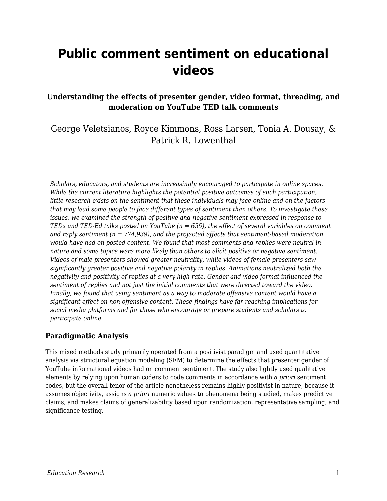# **Public comment sentiment on educational videos**

#### **Understanding the effects of presenter gender, video format, threading, and moderation on YouTube TED talk comments**

### George Veletsianos, Royce Kimmons, Ross Larsen, Tonia A. Dousay, & Patrick R. Lowenthal

*Scholars, educators, and students are increasingly encouraged to participate in online spaces. While the current literature highlights the potential positive outcomes of such participation, little research exists on the sentiment that these individuals may face online and on the factors that may lead some people to face different types of sentiment than others. To investigate these issues, we examined the strength of positive and negative sentiment expressed in response to TEDx and TED-Ed talks posted on YouTube (n = 655), the effect of several variables on comment and reply sentiment (n = 774,939), and the projected effects that sentiment-based moderation would have had on posted content. We found that most comments and replies were neutral in nature and some topics were more likely than others to elicit positive or negative sentiment. Videos of male presenters showed greater neutrality, while videos of female presenters saw significantly greater positive and negative polarity in replies. Animations neutralized both the negativity and positivity of replies at a very high rate. Gender and video format influenced the sentiment of replies and not just the initial comments that were directed toward the video. Finally, we found that using sentiment as a way to moderate offensive content would have a significant effect on non-offensive content. These findings have far-reaching implications for social media platforms and for those who encourage or prepare students and scholars to participate online.*

#### **Paradigmatic Analysis**

This mixed methods study primarily operated from a positivist paradigm and used quantitative analysis via structural equation modeling (SEM) to determine the effects that presenter gender of YouTube informational videos had on comment sentiment. The study also lightly used qualitative elements by relying upon human coders to code comments in accordance with *a priori* sentiment codes, but the overall tenor of the article nonetheless remains highly positivist in nature, because it assumes objectivity, assigns *a priori* numeric values to phenomena being studied, makes predictive claims, and makes claims of generalizability based upon randomization, representative sampling, and significance testing.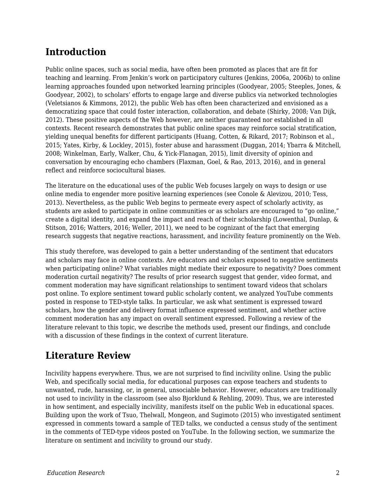# **Introduction**

Public online spaces, such as social media, have often been promoted as places that are fit for teaching and learning. From Jenkin's work on participatory cultures (Jenkins, 2006a, 2006b) to online learning approaches founded upon networked learning principles (Goodyear, 2005; Steeples, Jones, & Goodyear, 2002), to scholars' efforts to engage large and diverse publics via networked technologies (Veletsianos & Kimmons, 2012), the public Web has often been characterized and envisioned as a democratizing space that could foster interaction, collaboration, and debate (Shirky, 2008; Van Dijk, 2012). These positive aspects of the Web however, are neither guaranteed nor established in all contexts. Recent research demonstrates that public online spaces may reinforce social stratification, yielding unequal benefits for different participants (Huang, Cotten, & Rikard, 2017; Robinson et al., 2015; Yates, Kirby, & Lockley, 2015), foster abuse and harassment (Duggan, 2014; Ybarra & Mitchell, 2008; Winkelman, Early, Walker, Chu, & Yick-Flanagan, 2015), limit diversity of opinion and conversation by encouraging echo chambers (Flaxman, Goel, & Rao, 2013, 2016), and in general reflect and reinforce sociocultural biases.

The literature on the educational uses of the public Web focuses largely on ways to design or use online media to engender more positive learning experiences (see Conole & Alevizou, 2010; Tess, 2013). Nevertheless, as the public Web begins to permeate every aspect of scholarly activity, as students are asked to participate in online communities or as scholars are encouraged to "go online," create a digital identity, and expand the impact and reach of their scholarship (Lowenthal, Dunlap, & Stitson, 2016; Watters, 2016; Weller, 2011), we need to be cognizant of the fact that emerging research suggests that negative reactions, harassment, and incivility feature prominently on the Web.

This study therefore, was developed to gain a better understanding of the sentiment that educators and scholars may face in online contexts. Are educators and scholars exposed to negative sentiments when participating online? What variables might mediate their exposure to negativity? Does comment moderation curtail negativity? The results of prior research suggest that gender, video format, and comment moderation may have significant relationships to sentiment toward videos that scholars post online. To explore sentiment toward public scholarly content, we analyzed YouTube comments posted in response to TED-style talks. In particular, we ask what sentiment is expressed toward scholars, how the gender and delivery format influence expressed sentiment, and whether active comment moderation has any impact on overall sentiment expressed. Following a review of the literature relevant to this topic, we describe the methods used, present our findings, and conclude with a discussion of these findings in the context of current literature.

# **Literature Review**

Incivility happens everywhere. Thus, we are not surprised to find incivility online. Using the public Web, and specifically social media, for educational purposes can expose teachers and students to unwanted, rude, harassing, or, in general, unsociable behavior. However, educators are traditionally not used to incivility in the classroom (see also Bjorklund & Rehling, 2009). Thus, we are interested in how sentiment, and especially incivility, manifests itself on the public Web in educational spaces. Building upon the work of Tsuo, Thelwall, Mongeon, and Sugimoto (2015) who investigated sentiment expressed in comments toward a sample of TED talks, we conducted a census study of the sentiment in the comments of TED-type videos posted on YouTube. In the following section, we summarize the literature on sentiment and incivility to ground our study.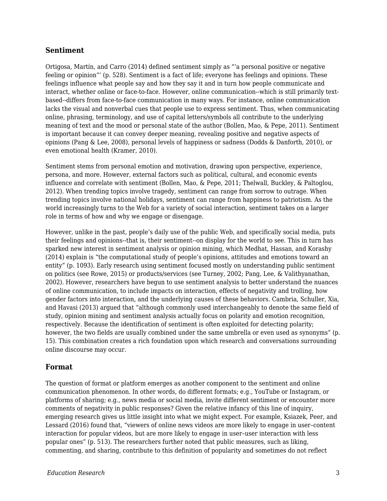#### **Sentiment**

Ortigosa, Martín, and Carro (2014) defined sentiment simply as "'a personal positive or negative feeling or opinion"' (p. 528). Sentiment is a fact of life; everyone has feelings and opinions. These feelings influence what people say and how they say it and in turn how people communicate and interact, whether online or face-to-face. However, online communication--which is still primarily textbased--differs from face-to-face communication in many ways. For instance, online communication lacks the visual and nonverbal cues that people use to express sentiment. Thus, when communicating online, phrasing, terminology, and use of capital letters/symbols all contribute to the underlying meaning of text and the mood or personal state of the author (Bollen, Mao, & Pepe, 2011). Sentiment is important because it can convey deeper meaning, revealing positive and negative aspects of opinions (Pang & Lee, 2008), personal levels of happiness or sadness (Dodds & Danforth, 2010), or even emotional health (Kramer, 2010).

Sentiment stems from personal emotion and motivation, drawing upon perspective, experience, persona, and more. However, external factors such as political, cultural, and economic events influence and correlate with sentiment (Bollen, Mao, & Pepe, 2011; Thelwall, Buckley, & Paltoglou, 2012). When trending topics involve tragedy, sentiment can range from sorrow to outrage. When trending topics involve national holidays, sentiment can range from happiness to patriotism. As the world increasingly turns to the Web for a variety of social interaction, sentiment takes on a larger role in terms of how and why we engage or disengage.

However, unlike in the past, people's daily use of the public Web, and specifically social media, puts their feelings and opinions--that is, their sentiment--on display for the world to see. This in turn has sparked new interest in sentiment analysis or opinion mining, which Medhat, Hassan, and Korashy (2014) explain is "the computational study of people's opinions, attitudes and emotions toward an entity" (p. 1093). Early research using sentiment focused mostly on understanding public sentiment on politics (see Rowe, 2015) or products/services (see Turney, 2002; Pang, Lee, & Valithyanathan, 2002). However, researchers have begun to use sentiment analysis to better understand the nuances of online communication, to include impacts on interaction, effects of negativity and trolling, how gender factors into interaction, and the underlying causes of these behaviors. Cambria, Schuller, Xia, and Havasi (2013) argued that "although commonly used interchangeably to denote the same field of study, opinion mining and sentiment analysis actually focus on polarity and emotion recognition, respectively. Because the identification of sentiment is often exploited for detecting polarity; however, the two fields are usually combined under the same umbrella or even used as synonyms" (p. 15). This combination creates a rich foundation upon which research and conversations surrounding online discourse may occur.

#### **Format**

The question of format or platform emerges as another component to the sentiment and online communication phenomenon. In other words, do different formats; e.g., YouTube or Instagram, or platforms of sharing; e.g., news media or social media, invite different sentiment or encounter more comments of negativity in public responses? Given the relative infancy of this line of inquiry, emerging research gives us little insight into what we might expect. For example, Ksiazek, Peer, and Lessard (2016) found that, "viewers of online news videos are more likely to engage in user–content interaction for popular videos, but are more likely to engage in user–user interaction with less popular ones" (p. 513). The researchers further noted that public measures, such as liking, commenting, and sharing, contribute to this definition of popularity and sometimes do not reflect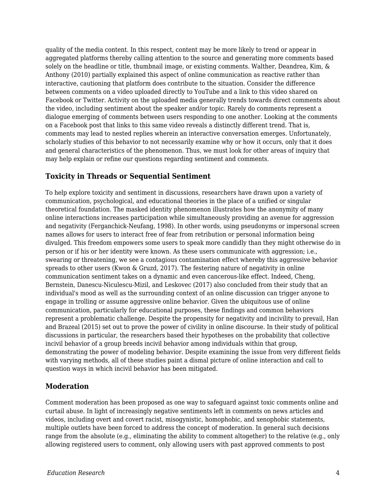quality of the media content. In this respect, content may be more likely to trend or appear in aggregated platforms thereby calling attention to the source and generating more comments based solely on the headline or title, thumbnail image, or existing comments. Walther, Deandrea, Kim, & Anthony (2010) partially explained this aspect of online communication as reactive rather than interactive, cautioning that platform does contribute to the situation. Consider the difference between comments on a video uploaded directly to YouTube and a link to this video shared on Facebook or Twitter. Activity on the uploaded media generally trends towards direct comments about the video, including sentiment about the speaker and/or topic. Rarely do comments represent a dialogue emerging of comments between users responding to one another. Looking at the comments on a Facebook post that links to this same video reveals a distinctly different trend. That is, comments may lead to nested replies wherein an interactive conversation emerges. Unfortunately, scholarly studies of this behavior to not necessarily examine why or how it occurs, only that it does and general characteristics of the phenomenon. Thus, we must look for other areas of inquiry that may help explain or refine our questions regarding sentiment and comments.

#### **Toxicity in Threads or Sequential Sentiment**

To help explore toxicity and sentiment in discussions, researchers have drawn upon a variety of communication, psychological, and educational theories in the place of a unified or singular theoretical foundation. The masked identity phenomenon illustrates how the anonymity of many online interactions increases participation while simultaneously providing an avenue for aggression and negativity (Ferganchick-Neufang, 1998). In other words, using pseudonyms or impersonal screen names allows for users to interact free of fear from retribution or personal information being divulged. This freedom empowers some users to speak more candidly than they might otherwise do in person or if his or her identity were known. As these users communicate with aggression; i.e., swearing or threatening, we see a contagious contamination effect whereby this aggressive behavior spreads to other users (Kwon & Gruzd, 2017). The festering nature of negativity in online communication sentiment takes on a dynamic and even cancerous-like effect. Indeed, Cheng, Bernstein, Danescu-Niculescu-Mizil, and Leskovec (2017) also concluded from their study that an individual's mood as well as the surrounding context of an online discussion can trigger anyone to engage in trolling or assume aggressive online behavior. Given the ubiquitous use of online communication, particularly for educational purposes, these findings and common behaviors represent a problematic challenge. Despite the propensity for negativity and incivility to prevail, Han and Brazeal (2015) set out to prove the power of civility in online discourse. In their study of political discussions in particular, the researchers based their hypotheses on the probability that collective incivil behavior of a group breeds incivil behavior among individuals within that group, demonstrating the power of modeling behavior. Despite examining the issue from very different fields with varying methods, all of these studies paint a dismal picture of online interaction and call to question ways in which incivil behavior has been mitigated.

#### **Moderation**

Comment moderation has been proposed as one way to safeguard against toxic comments online and curtail abuse. In light of increasingly negative sentiments left in comments on news articles and videos, including overt and covert racist, misogynistic, homophobic, and xenophobic statements, multiple outlets have been forced to address the concept of moderation. In general such decisions range from the absolute (e.g., eliminating the ability to comment altogether) to the relative (e.g., only allowing registered users to comment, only allowing users with past approved comments to post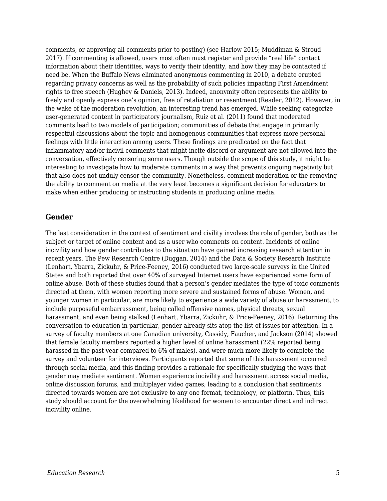comments, or approving all comments prior to posting) (see Harlow 2015; Muddiman & Stroud 2017). If commenting is allowed, users most often must register and provide "real life" contact information about their identities, ways to verify their identity, and how they may be contacted if need be. When the Buffalo News eliminated anonymous commenting in 2010, a debate erupted regarding privacy concerns as well as the probability of such policies impacting First Amendment rights to free speech (Hughey & Daniels, 2013). Indeed, anonymity often represents the ability to freely and openly express one's opinion, free of retaliation or resentment (Reader, 2012). However, in the wake of the moderation revolution, an interesting trend has emerged. While seeking categorize user-generated content in participatory journalism, Ruiz et al. (2011) found that moderated comments lead to two models of participation; communities of debate that engage in primarily respectful discussions about the topic and homogenous communities that express more personal feelings with little interaction among users. These findings are predicated on the fact that inflammatory and/or incivil comments that might incite discord or argument are not allowed into the conversation, effectively censoring some users. Though outside the scope of this study, it might be interesting to investigate how to moderate comments in a way that prevents ongoing negativity but that also does not unduly censor the community. Nonetheless, comment moderation or the removing the ability to comment on media at the very least becomes a significant decision for educators to make when either producing or instructing students in producing online media.

#### **Gender**

The last consideration in the context of sentiment and civility involves the role of gender, both as the subject or target of online content and as a user who comments on content. Incidents of online incivility and how gender contributes to the situation have gained increasing research attention in recent years. The Pew Research Centre (Duggan, 2014) and the Data & Society Research Institute (Lenhart, Ybarra, Zickuhr, & Price-Feeney, 2016) conducted two large-scale surveys in the United States and both reported that over 40% of surveyed Internet users have experienced some form of online abuse. Both of these studies found that a person's gender mediates the type of toxic comments directed at them, with women reporting more severe and sustained forms of abuse. Women, and younger women in particular, are more likely to experience a wide variety of abuse or harassment, to include purposeful embarrassment, being called offensive names, physical threats, sexual harassment, and even being stalked (Lenhart, Ybarra, Zickuhr, & Price-Feeney, 2016). Returning the conversation to education in particular, gender already sits atop the list of issues for attention. In a survey of faculty members at one Canadian university, Cassidy, Faucher, and Jackson (2014) showed that female faculty members reported a higher level of online harassment (22% reported being harassed in the past year compared to 6% of males), and were much more likely to complete the survey and volunteer for interviews. Participants reported that some of this harassment occurred through social media, and this finding provides a rationale for specifically studying the ways that gender may mediate sentiment. Women experience incivility and harassment across social media, online discussion forums, and multiplayer video games; leading to a conclusion that sentiments directed towards women are not exclusive to any one format, technology, or platform. Thus, this study should account for the overwhelming likelihood for women to encounter direct and indirect incivility online.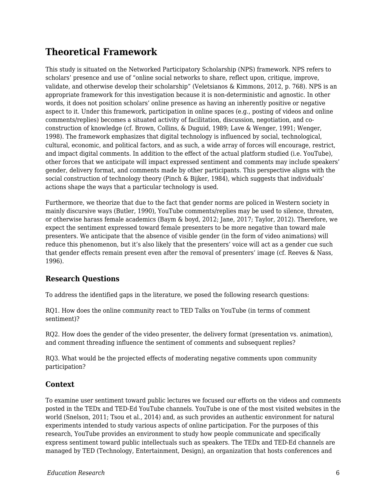# **Theoretical Framework**

This study is situated on the Networked Participatory Scholarship (NPS) framework. NPS refers to scholars' presence and use of "online social networks to share, reflect upon, critique, improve, validate, and otherwise develop their scholarship" (Veletsianos & Kimmons, 2012, p. 768). NPS is an appropriate framework for this investigation because it is non-deterministic and agnostic. In other words, it does not position scholars' online presence as having an inherently positive or negative aspect to it. Under this framework, participation in online spaces (e.g., posting of videos and online comments/replies) becomes a situated activity of facilitation, discussion, negotiation, and coconstruction of knowledge (cf. Brown, Collins, & Duguid, 1989; Lave & Wenger, 1991; Wenger, 1998). The framework emphasizes that digital technology is influenced by social, technological, cultural, economic, and political factors, and as such, a wide array of forces will encourage, restrict, and impact digital comments. In addition to the effect of the actual platform studied (i.e. YouTube), other forces that we anticipate will impact expressed sentiment and comments may include speakers' gender, delivery format, and comments made by other participants. This perspective aligns with the social construction of technology theory (Pinch & Bijker, 1984), which suggests that individuals' actions shape the ways that a particular technology is used.

Furthermore, we theorize that due to the fact that gender norms are policed in Western society in mainly discursive ways (Butler, 1990), YouTube comments/replies may be used to silence, threaten, or otherwise harass female academics (Baym & boyd, 2012; Jane, 2017; Taylor, 2012). Therefore, we expect the sentiment expressed toward female presenters to be more negative than toward male presenters. We anticipate that the absence of visible gender (in the form of video animations) will reduce this phenomenon, but it's also likely that the presenters' voice will act as a gender cue such that gender effects remain present even after the removal of presenters' image (cf. Reeves & Nass, 1996).

### **Research Questions**

To address the identified gaps in the literature, we posed the following research questions:

RQ1. How does the online community react to TED Talks on YouTube (in terms of comment sentiment)?

RQ2. How does the gender of the video presenter, the delivery format (presentation vs. animation), and comment threading influence the sentiment of comments and subsequent replies?

RQ3. What would be the projected effects of moderating negative comments upon community participation?

### **Context**

To examine user sentiment toward public lectures we focused our efforts on the videos and comments posted in the TEDx and TED-Ed YouTube channels. YouTube is one of the most visited websites in the world (Snelson, 2011; Tsou et al., 2014) and, as such provides an authentic environment for natural experiments intended to study various aspects of online participation. For the purposes of this research, YouTube provides an environment to study how people communicate and specifically express sentiment toward public intellectuals such as speakers. The TEDx and TED-Ed channels are managed by TED (Technology, Entertainment, Design), an organization that hosts conferences and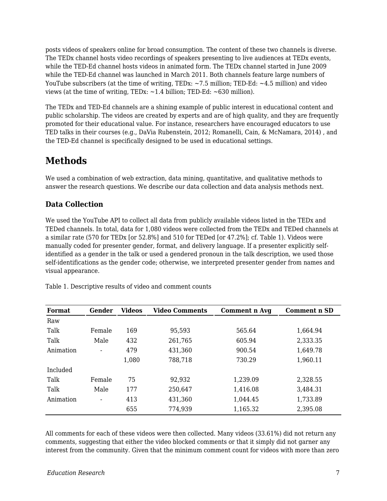posts videos of speakers online for broad consumption. The content of these two channels is diverse. The TEDx channel hosts video recordings of speakers presenting to live audiences at TEDx events, while the TED-Ed channel hosts videos in animated form. The TEDx channel started in June 2009 while the TED-Ed channel was launched in March 2011. Both channels feature large numbers of YouTube subscribers (at the time of writing, TEDx: ~7.5 million; TED-Ed: ~4.5 million) and video views (at the time of writing, TEDx:  $\sim$ 1.4 billion; TED-Ed:  $\sim$  630 million).

The TEDx and TED-Ed channels are a shining example of public interest in educational content and public scholarship. The videos are created by experts and are of high quality, and they are frequently promoted for their educational value. For instance, researchers have encouraged educators to use TED talks in their courses (e.g., DaVia Rubenstein, 2012; Romanelli, Cain, & McNamara, 2014) , and the TED-Ed channel is specifically designed to be used in educational settings.

## **Methods**

We used a combination of web extraction, data mining, quantitative, and qualitative methods to answer the research questions. We describe our data collection and data analysis methods next.

### **Data Collection**

We used the YouTube API to collect all data from publicly available videos listed in the TEDx and TEDed channels. In total, data for 1,080 videos were collected from the TEDx and TEDed channels at a similar rate (570 for TEDx [or 52.8%] and 510 for TEDed [or 47.2%]; cf. Table 1). Videos were manually coded for presenter gender, format, and delivery language. If a presenter explicitly selfidentified as a gender in the talk or used a gendered pronoun in the talk description, we used those self-identifications as the gender code; otherwise, we interpreted presenter gender from names and visual appearance.

| <b>Format</b> | Gender                   | <b>Videos</b> | <b>Video Comments</b> | Comment n Avg | <b>Comment n SD</b> |
|---------------|--------------------------|---------------|-----------------------|---------------|---------------------|
| Raw           |                          |               |                       |               |                     |
| Talk          | Female                   | 169           | 95,593                | 565.64        | 1,664.94            |
| Talk          | Male                     | 432           | 261,765               | 605.94        | 2,333.35            |
| Animation     |                          | 479           | 431,360               | 900.54        | 1,649.78            |
|               |                          | 1,080         | 788,718               | 730.29        | 1,960.11            |
| Included      |                          |               |                       |               |                     |
| Talk          | Female                   | 75            | 92,932                | 1,239.09      | 2,328.55            |
| Talk          | Male                     | 177           | 250,647               | 1,416.08      | 3,484.31            |
| Animation     | $\overline{\phantom{a}}$ | 413           | 431,360               | 1,044.45      | 1,733.89            |
|               |                          | 655           | 774,939               | 1,165.32      | 2,395.08            |

Table 1. Descriptive results of video and comment counts

All comments for each of these videos were then collected. Many videos (33.61%) did not return any comments, suggesting that either the video blocked comments or that it simply did not garner any interest from the community. Given that the minimum comment count for videos with more than zero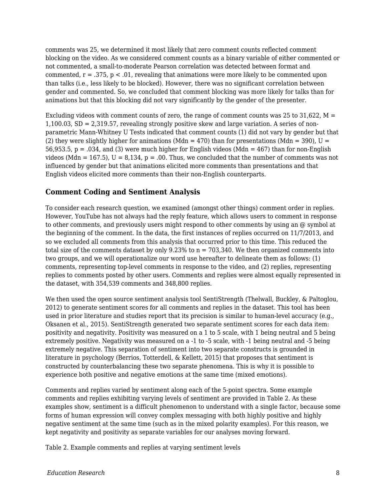comments was 25, we determined it most likely that zero comment counts reflected comment blocking on the video. As we considered comment counts as a binary variable of either commented or not commented, a small-to-moderate Pearson correlation was detected between format and commented,  $r = .375$ ,  $p < .01$ , revealing that animations were more likely to be commented upon than talks (i.e., less likely to be blocked). However, there was no significant correlation between gender and commented. So, we concluded that comment blocking was more likely for talks than for animations but that this blocking did not vary significantly by the gender of the presenter.

Excluding videos with comment counts of zero, the range of comment counts was 25 to 31,622,  $M =$ 1,100.03, SD = 2,319.57, revealing strongly positive skew and large variation. A series of nonparametric Mann-Whitney U Tests indicated that comment counts (1) did not vary by gender but that (2) they were slightly higher for animations (Mdn = 470) than for presentations (Mdn = 390), U = 56,953.5,  $p = .034$ , and (3) were much higher for English videos (Mdn = 467) than for non-English videos (Mdn = 167.5),  $U = 8,134$ ,  $p = .00$ . Thus, we concluded that the number of comments was not influenced by gender but that animations elicited more comments than presentations and that English videos elicited more comments than their non-English counterparts.

#### **Comment Coding and Sentiment Analysis**

To consider each research question, we examined (amongst other things) comment order in replies. However, YouTube has not always had the reply feature, which allows users to comment in response to other comments, and previously users might respond to other comments by using an @ symbol at the beginning of the comment. In the data, the first instances of replies occurred on 11/7/2013, and so we excluded all comments from this analysis that occurred prior to this time. This reduced the total size of the comments dataset by only  $9.23\%$  to  $n = 703,340$ . We then organized comments into two groups, and we will operationalize our word use hereafter to delineate them as follows: (1) comments, representing top-level comments in response to the video, and (2) replies, representing replies to comments posted by other users. Comments and replies were almost equally represented in the dataset, with 354,539 comments and 348,800 replies.

We then used the open source sentiment analysis tool SentiStrength (Thelwall, Buckley, & Paltoglou, 2012) to generate sentiment scores for all comments and replies in the dataset. This tool has been used in prior literature and studies report that its precision is similar to human-level accuracy (e.g., Oksanen et al., 2015). SentiStrength generated two separate sentiment scores for each data item: positivity and negativity. Positivity was measured on a 1 to 5 scale, with 1 being neutral and 5 being extremely positive. Negativity was measured on a -1 to -5 scale, with -1 being neutral and -5 being extremely negative. This separation of sentiment into two separate constructs is grounded in literature in psychology (Berrios, Totterdell, & Kellett, 2015) that proposes that sentiment is constructed by counterbalancing these two separate phenomena. This is why it is possible to experience both positive and negative emotions at the same time (mixed emotions).

Comments and replies varied by sentiment along each of the 5-point spectra. Some example comments and replies exhibiting varying levels of sentiment are provided in Table 2. As these examples show, sentiment is a difficult phenomenon to understand with a single factor, because some forms of human expression will convey complex messaging with both highly positive and highly negative sentiment at the same time (such as in the mixed polarity examples). For this reason, we kept negativity and positivity as separate variables for our analyses moving forward.

Table 2. Example comments and replies at varying sentiment levels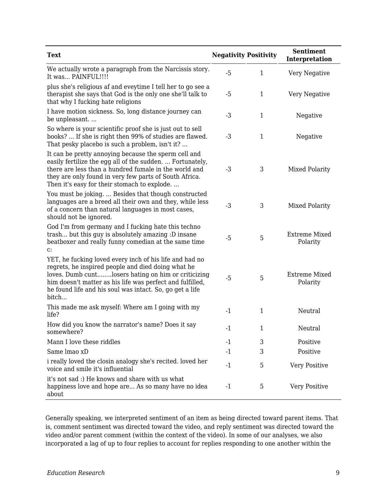| <b>Text</b>                                                                                                                                                                                                                                                                                            | <b>Negativity Positivity</b> |              | <b>Sentiment</b><br>Interpretation |
|--------------------------------------------------------------------------------------------------------------------------------------------------------------------------------------------------------------------------------------------------------------------------------------------------------|------------------------------|--------------|------------------------------------|
| We actually wrote a paragraph from the Narcissis story.<br>It was PAINFUL!!!!                                                                                                                                                                                                                          | $-5$                         | $\mathbf{1}$ | Very Negative                      |
| plus she's religious af and eveytime I tell her to go see a<br>therapist she says that God is the only one she'll talk to<br>that why I fucking hate religions                                                                                                                                         | $-5$                         | $\mathbf{1}$ | Very Negative                      |
| I have motion sickness. So, long distance journey can<br>be unpleasant                                                                                                                                                                                                                                 | $-3$                         | $\mathbf{1}$ | Negative                           |
| So where is your scientific proof she is just out to sell<br>books?  If she is right then 99% of studies are flawed.<br>That pesky placebo is such a problem, isn't it?                                                                                                                                | $-3$                         | $\mathbf{1}$ | Negative                           |
| It can be pretty annoying because the sperm cell and<br>easily fertilize the egg all of the sudden.  Fortunately,<br>there are less than a hundred fumale in the world and<br>they are only found in very few parts of South Africa.<br>Then it's easy for their stomach to explode                    | $-3$                         | 3            | <b>Mixed Polarity</b>              |
| You must be joking.  Besides that though constructed<br>languages are a breed all their own and they, while less<br>of a concern than natural languages in most cases,<br>should not be ignored.                                                                                                       | $-3$                         | 3            | Mixed Polarity                     |
| God I'm from germany and I fucking hate this techno<br>trash but this guy is absolutely amazing :D insane<br>beatboxer and really funny comedian at the same time<br>C:                                                                                                                                | $-5$                         | 5            | <b>Extreme Mixed</b><br>Polarity   |
| YET, he fucking loved every inch of his life and had no<br>regrets, he inspired people and died doing what he<br>loves. Dumb cuntlosers hating on him or criticizing<br>him doesn't matter as his life was perfect and fulfilled,<br>he found life and his soul was intact. So, go get a life<br>bitch | $-5$                         | 5            | <b>Extreme Mixed</b><br>Polarity   |
| This made me ask myself: Where am I going with my<br>life?                                                                                                                                                                                                                                             | $-1$                         | $\mathbf{1}$ | Neutral                            |
| How did you know the narrator's name? Does it say<br>somewhere?                                                                                                                                                                                                                                        | $-1$                         | 1            | Neutral                            |
| Mann I love these riddles                                                                                                                                                                                                                                                                              | $-1$                         | 3            | Positive                           |
| Same Imao xD                                                                                                                                                                                                                                                                                           | $-1$                         | 3            | Positive                           |
| i really loved the closin analogy she's recited. loved her<br>voice and smile it's influential                                                                                                                                                                                                         | $-1$                         | 5            | <b>Very Positive</b>               |
| it's not sad :) He knows and share with us what<br>happiness love and hope are As so many have no idea<br>about                                                                                                                                                                                        | $-1$                         | 5            | Very Positive                      |

Generally speaking, we interpreted sentiment of an item as being directed toward parent items. That is, comment sentiment was directed toward the video, and reply sentiment was directed toward the video and/or parent comment (within the context of the video). In some of our analyses, we also incorporated a lag of up to four replies to account for replies responding to one another within the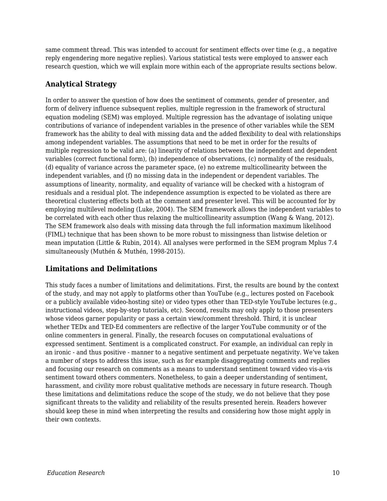same comment thread. This was intended to account for sentiment effects over time (e.g., a negative reply engendering more negative replies). Various statistical tests were employed to answer each research question, which we will explain more within each of the appropriate results sections below.

### **Analytical Strategy**

In order to answer the question of how does the sentiment of comments, gender of presenter, and form of delivery influence subsequent replies, multiple regression in the framework of structural equation modeling (SEM) was employed. Multiple regression has the advantage of isolating unique contributions of variance of independent variables in the presence of other variables while the SEM framework has the ability to deal with missing data and the added flexibility to deal with relationships among independent variables. The assumptions that need to be met in order for the results of multiple regression to be valid are: (a) linearity of relations between the independent and dependent variables (correct functional form), (b) independence of observations, (c) normality of the residuals, (d) equality of variance across the parameter space, (e) no extreme multicollinearity between the independent variables, and (f) no missing data in the independent or dependent variables. The assumptions of linearity, normality, and equality of variance will be checked with a histogram of residuals and a residual plot. The independence assumption is expected to be violated as there are theoretical clustering effects both at the comment and presenter level. This will be accounted for by employing multilevel modeling (Luke, 2004). The SEM framework allows the independent variables to be correlated with each other thus relaxing the multicollinearity assumption (Wang & Wang, 2012). The SEM framework also deals with missing data through the full information maximum likelihood (FIML) technique that has been shown to be more robust to missingness than listwise deletion or mean imputation (Little & Rubin, 2014). All analyses were performed in the SEM program Mplus 7.4 simultaneously (Muthén & Muthén, 1998-2015).

### **Limitations and Delimitations**

This study faces a number of limitations and delimitations. First, the results are bound by the context of the study, and may not apply to platforms other than YouTube (e.g., lectures posted on Facebook or a publicly available video-hosting site) or video types other than TED-style YouTube lectures (e.g., instructional videos, step-by-step tutorials, etc). Second, results may only apply to those presenters whose videos garner popularity or pass a certain view/comment threshold. Third, it is unclear whether TEDx and TED-Ed commenters are reflective of the larger YouTube community or of the online commenters in general. Finally, the research focuses on computational evaluations of expressed sentiment. Sentiment is a complicated construct. For example, an individual can reply in an ironic - and thus positive - manner to a negative sentiment and perpetuate negativity. We've taken a number of steps to address this issue, such as for example disaggregating comments and replies and focusing our research on comments as a means to understand sentiment toward video vis-a-vis sentiment toward others commenters. Nonetheless, to gain a deeper understanding of sentiment, harassment, and civility more robust qualitative methods are necessary in future research. Though these limitations and delimitations reduce the scope of the study, we do not believe that they pose significant threats to the validity and reliability of the results presented herein. Readers however should keep these in mind when interpreting the results and considering how those might apply in their own contexts.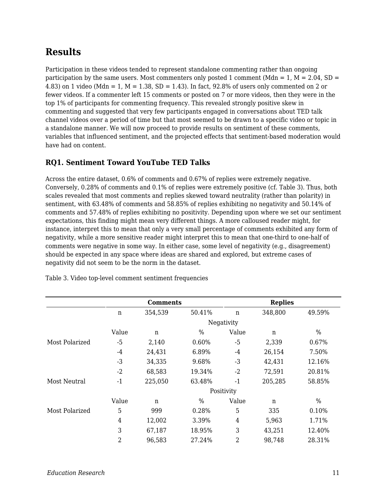# **Results**

Participation in these videos tended to represent standalone commenting rather than ongoing participation by the same users. Most commenters only posted 1 comment (Mdn = 1,  $M = 2.04$ , SD = 4.83) on 1 video (Mdn = 1, M = 1.38, SD = 1.43). In fact, 92.8% of users only commented on 2 or fewer videos. If a commenter left 15 comments or posted on 7 or more videos, then they were in the top 1% of participants for commenting frequency. This revealed strongly positive skew in commenting and suggested that very few participants engaged in conversations about TED talk channel videos over a period of time but that most seemed to be drawn to a specific video or topic in a standalone manner. We will now proceed to provide results on sentiment of these comments, variables that influenced sentiment, and the projected effects that sentiment-based moderation would have had on content.

### **RQ1. Sentiment Toward YouTube TED Talks**

Across the entire dataset, 0.6% of comments and 0.67% of replies were extremely negative. Conversely, 0.28% of comments and 0.1% of replies were extremely positive (cf. Table 3). Thus, both scales revealed that most comments and replies skewed toward neutrality (rather than polarity) in sentiment, with 63.48% of comments and 58.85% of replies exhibiting no negativity and 50.14% of comments and 57.48% of replies exhibiting no positivity. Depending upon where we set our sentiment expectations, this finding might mean very different things. A more calloused reader might, for instance, interpret this to mean that only a very small percentage of comments exhibited any form of negativity, while a more sensitive reader might interpret this to mean that one-third to one-half of comments were negative in some way. In either case, some level of negativity (e.g., disagreement) should be expected in any space where ideas are shared and explored, but extreme cases of negativity did not seem to be the norm in the dataset.

|                |                | <b>Comments</b> |        |                | <b>Replies</b> |               |
|----------------|----------------|-----------------|--------|----------------|----------------|---------------|
|                | $\mathbf n$    | 354,539         | 50.41% | $\mathbf n$    | 348,800        | 49.59%        |
|                |                |                 |        | Negativity     |                |               |
|                | Value          | n               | %      | Value          | n              | %             |
| Most Polarized | $-5$           | 2,140           | 0.60%  | $-5$           | 2,339          | 0.67%         |
|                | $-4$           | 24,431          | 6.89%  | -4             | 26,154         | 7.50%         |
|                | $-3$           | 34,335          | 9.68%  | $-3$           | 42,431         | 12.16%        |
|                | $-2$           | 68,583          | 19.34% | $-2$           | 72,591         | 20.81%        |
| Most Neutral   | $-1$           | 225,050         | 63.48% | $-1$           | 205,285        | 58.85%        |
|                |                |                 |        | Positivity     |                |               |
|                | Value          | n               | $\%$   | Value          | $\mathbf n$    | $\frac{0}{0}$ |
| Most Polarized | 5              | 999             | 0.28%  | 5              | 335            | 0.10%         |
|                | $\overline{4}$ | 12,002          | 3.39%  | $\overline{4}$ | 5,963          | 1.71%         |
|                | 3              | 67,187          | 18.95% | 3              | 43,251         | 12.40%        |
|                | $\overline{2}$ | 96,583          | 27.24% | $\overline{2}$ | 98,748         | 28.31%        |

Table 3. Video top-level comment sentiment frequencies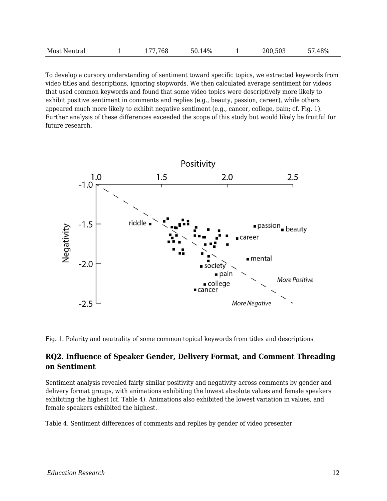| Most Neutral | 177,768 | 50.14% |  | 200,503 | 57.48% |
|--------------|---------|--------|--|---------|--------|
|--------------|---------|--------|--|---------|--------|

To develop a cursory understanding of sentiment toward specific topics, we extracted keywords from video titles and descriptions, ignoring stopwords. We then calculated average sentiment for videos that used common keywords and found that some video topics were descriptively more likely to exhibit positive sentiment in comments and replies (e.g., beauty, passion, career), while others appeared much more likely to exhibit negative sentiment (e.g., cancer, college, pain; cf. Fig. 1). Further analysis of these differences exceeded the scope of this study but would likely be fruitful for future research.



Fig. 1. Polarity and neutrality of some common topical keywords from titles and descriptions

#### **RQ2. Influence of Speaker Gender, Delivery Format, and Comment Threading on Sentiment**

Sentiment analysis revealed fairly similar positivity and negativity across comments by gender and delivery format groups, with animations exhibiting the lowest absolute values and female speakers exhibiting the highest (cf. Table 4). Animations also exhibited the lowest variation in values, and female speakers exhibited the highest.

Table 4. Sentiment differences of comments and replies by gender of video presenter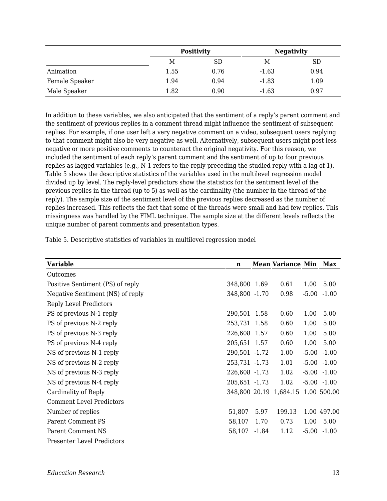|                |      | <b>Positivity</b> |         | <b>Negativity</b> |
|----------------|------|-------------------|---------|-------------------|
|                | Μ    | SD                | Μ       | <b>SD</b>         |
| Animation      | 1.55 | 0.76              | $-1.63$ | 0.94              |
| Female Speaker | 1.94 | 0.94              | $-1.83$ | 1.09              |
| Male Speaker   | 1.82 | 0.90              | $-1.63$ | 0.97              |

In addition to these variables, we also anticipated that the sentiment of a reply's parent comment and the sentiment of previous replies in a comment thread might influence the sentiment of subsequent replies. For example, if one user left a very negative comment on a video, subsequent users replying to that comment might also be very negative as well. Alternatively, subsequent users might post less negative or more positive comments to counteract the original negativity. For this reason, we included the sentiment of each reply's parent comment and the sentiment of up to four previous replies as lagged variables (e.g., N-1 refers to the reply preceding the studied reply with a lag of 1). Table 5 shows the descriptive statistics of the variables used in the multilevel regression model divided up by level. The reply-level predictors show the statistics for the sentiment level of the previous replies in the thread (up to 5) as well as the cardinality (the number in the thread of the reply). The sample size of the sentiment level of the previous replies decreased as the number of replies increased. This reflects the fact that some of the threads were small and had few replies. This missingness was handled by the FIML technique. The sample size at the different levels reflects the unique number of parent comments and presentation types.

| Table 5. Descriptive statistics of variables in multilevel regression model |  |  |
|-----------------------------------------------------------------------------|--|--|
|-----------------------------------------------------------------------------|--|--|

| <b>Variable</b>                   | n             |         | <b>Mean Variance Min</b> |      | Max             |
|-----------------------------------|---------------|---------|--------------------------|------|-----------------|
| Outcomes                          |               |         |                          |      |                 |
| Positive Sentiment (PS) of reply  | 348,800 1.69  |         | 0.61                     | 1.00 | 5.00            |
| Negative Sentiment (NS) of reply  | 348,800 -1.70 |         | 0.98                     |      | $-5.00 - 1.00$  |
| <b>Reply Level Predictors</b>     |               |         |                          |      |                 |
| PS of previous N-1 reply          | 290,501 1.58  |         | 0.60                     | 1.00 | 5.00            |
| PS of previous N-2 reply          | 253,731 1.58  |         | 0.60                     | 1.00 | 5.00            |
| PS of previous N-3 reply          | 226,608 1.57  |         | 0.60                     | 1.00 | 5.00            |
| PS of previous N-4 reply          | 205,651 1.57  |         | 0.60                     | 1.00 | 5.00            |
| NS of previous N-1 reply          | 290,501 -1.72 |         | 1.00                     |      | $-5.00$ $-1.00$ |
| NS of previous N-2 reply          | 253,731 -1.73 |         | 1.01                     |      | $-5.00 - 1.00$  |
| NS of previous N-3 reply          | 226,608 -1.73 |         | 1.02                     |      | $-5.00 - 1.00$  |
| NS of previous N-4 reply          | 205,651 -1.73 |         | 1.02                     |      | $-5.00 -1.00$   |
| Cardinality of Reply              |               |         | 348,800 20.19 1,684.15   |      | 1.00 500.00     |
| <b>Comment Level Predictors</b>   |               |         |                          |      |                 |
| Number of replies                 | 51,807        | 5.97    | 199.13                   |      | 1.00 497.00     |
| <b>Parent Comment PS</b>          | 58,107        | 1.70    | 0.73                     | 1.00 | 5.00            |
| <b>Parent Comment NS</b>          | 58,107        | $-1.84$ | 1.12                     |      | $-5.00 - 1.00$  |
| <b>Presenter Level Predictors</b> |               |         |                          |      |                 |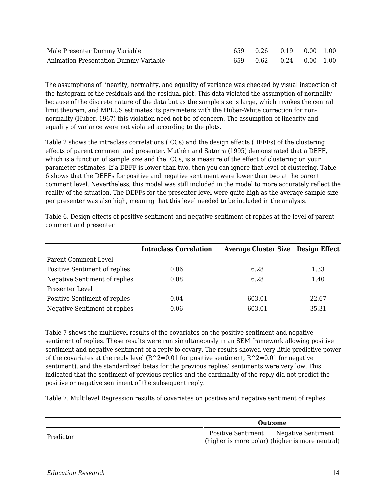| Male Presenter Dummy Variable         |  | 659 0.26 0.19 0.00 1.00     |  |
|---------------------------------------|--|-----------------------------|--|
| Animation Presentation Dummy Variable |  | 659  0.62  0.24  0.00  1.00 |  |

The assumptions of linearity, normality, and equality of variance was checked by visual inspection of the histogram of the residuals and the residual plot. This data violated the assumption of normality because of the discrete nature of the data but as the sample size is large, which invokes the central limit theorem, and MPLUS estimates its parameters with the Huber-White correction for nonnormality (Huber, 1967) this violation need not be of concern. The assumption of linearity and equality of variance were not violated according to the plots.

Table 2 shows the intraclass correlations (ICCs) and the design effects (DEFFs) of the clustering effects of parent comment and presenter. Muthén and Satorra (1995) demonstrated that a DEFF, which is a function of sample size and the ICCs, is a measure of the effect of clustering on your parameter estimates. If a DEFF is lower than two, then you can ignore that level of clustering. Table 6 shows that the DEFFs for positive and negative sentiment were lower than two at the parent comment level. Nevertheless, this model was still included in the model to more accurately reflect the reality of the situation. The DEFFs for the presenter level were quite high as the average sample size per presenter was also high, meaning that this level needed to be included in the analysis.

|                               | <b>Intraclass Correlation</b> | <b>Average Cluster Size Design Effect</b> |       |
|-------------------------------|-------------------------------|-------------------------------------------|-------|
| Parent Comment Level          |                               |                                           |       |
| Positive Sentiment of replies | 0.06                          | 6.28                                      | 1.33  |
| Negative Sentiment of replies | 0.08                          | 6.28                                      | 1.40  |
| Presenter Level               |                               |                                           |       |
| Positive Sentiment of replies | 0.04                          | 603.01                                    | 22.67 |
| Negative Sentiment of replies | 0.06                          | 603.01                                    | 35.31 |

Table 6. Design effects of positive sentiment and negative sentiment of replies at the level of parent comment and presenter

Table 7 shows the multilevel results of the covariates on the positive sentiment and negative sentiment of replies. These results were run simultaneously in an SEM framework allowing positive sentiment and negative sentiment of a reply to covary. The results showed very little predictive power of the covariates at the reply level  $(R^2=0.01$  for positive sentiment,  $R^2=0.01$  for negative sentiment), and the standardized betas for the previous replies' sentiments were very low. This indicated that the sentiment of previous replies and the cardinality of the reply did not predict the positive or negative sentiment of the subsequent reply.

Table 7. Multilevel Regression results of covariates on positive and negative sentiment of replies

|           | Outcome                                                                                  |
|-----------|------------------------------------------------------------------------------------------|
| Predictor | Positive Sentiment Negative Sentiment<br>(higher is more polar) (higher is more neutral) |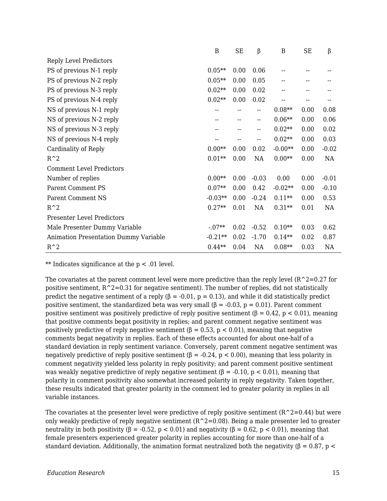|                                       | B         | <b>SE</b> | β       | $\boldsymbol{B}$ | <b>SE</b> | β       |
|---------------------------------------|-----------|-----------|---------|------------------|-----------|---------|
| <b>Reply Level Predictors</b>         |           |           |         |                  |           |         |
| PS of previous N-1 reply              | $0.05**$  | 0.00      | 0.06    |                  |           |         |
| PS of previous N-2 reply              | $0.05**$  | 0.00      | 0.05    |                  |           |         |
| PS of previous N-3 reply              | $0.02**$  | 0.00      | 0.02    |                  |           |         |
| PS of previous N-4 reply              | $0.02**$  | 0.00      | 0.02    |                  | --        |         |
| NS of previous N-1 reply              |           |           | --      | $0.08**$         | 0.00      | 0.08    |
| NS of previous N-2 reply              |           | --        | -−      | $0.06**$         | 0.00      | 0.06    |
| NS of previous N-3 reply              |           |           | --      | $0.02**$         | 0.00      | 0.02    |
| NS of previous N-4 reply              |           |           | --      | $0.02**$         | 0.00      | 0.03    |
| Cardinality of Reply                  | $0.00**$  | 0.00      | 0.02    | $-0.00**$        | 0.00      | $-0.02$ |
| $R^2$                                 | $0.01**$  | 0.00      | NA      | $0.00**$         | 0.00      | NA      |
| <b>Comment Level Predictors</b>       |           |           |         |                  |           |         |
| Number of replies                     | $0.00**$  | 0.00      | $-0.03$ | 0.00             | 0.00      | $-0.01$ |
| <b>Parent Comment PS</b>              | $0.07**$  | 0.00      | 0.42    | $-0.02**$        | 0.00      | $-0.10$ |
| <b>Parent Comment NS</b>              | $-0.03**$ | 0.00      | $-0.24$ | $0.11**$         | 0.00      | 0.53    |
| $R^2$                                 | $0.27**$  | 0.01      | NA      | $0.31**$         | 0.01      | NA      |
| <b>Presenter Level Predictors</b>     |           |           |         |                  |           |         |
| Male Presenter Dummy Variable         | $-07**$   | 0.02      | $-0.52$ | $0.10**$         | 0.03      | 0.62    |
| Animation Presentation Dummy Variable | $-0.21**$ | 0.02      | $-1.70$ | $0.14**$         | 0.02      | 0.87    |
| $R^2$                                 | $0.44**$  | 0.04      | NA      | $0.08**$         | 0.03      | NA      |

\*\* Indicates significance at the  $p < 0.01$  level.

The covariates at the parent comment level were more predictive than the reply level  $(R^2=0.27$  for positive sentiment,  $R^2=0.31$  for negative sentiment). The number of replies, did not statistically predict the negative sentiment of a reply  $(\beta = -0.01, p = 0.13)$ , and while it did statistically predict positive sentiment, the standardized beta was very small  $(\beta = -0.03, p = 0.01)$ . Parent comment positive sentiment was positively predictive of reply positive sentiment (β = 0.42, p < 0.01), meaning that positive comments begat positivity in replies; and parent comment negative sentiment was positively predictive of reply negative sentiment ( $\beta = 0.53$ ,  $p < 0.01$ ), meaning that negative comments begat negativity in replies. Each of these effects accounted for about one-half of a standard deviation in reply sentiment variance. Conversely, parent comment negative sentiment was negatively predictive of reply positive sentiment ( $\beta$  = -0.24, p < 0.00), meaning that less polarity in comment negativity yielded less polarity in reply positivity; and parent comment positive sentiment was weakly negative predictive of reply negative sentiment ( $\beta$  = -0.10, p < 0.01), meaning that polarity in comment positivity also somewhat increased polarity in reply negativity. Taken together, these results indicated that greater polarity in the comment led to greater polarity in replies in all variable instances.

The covariates at the presenter level were predictive of reply positive sentiment  $(R^2=0.44)$  but were only weakly predictive of reply negative sentiment  $(R^2=0.08)$ . Being a male presenter led to greater neutrality in both positivity ( $\beta$  = -0.52, p < 0.01) and negativity ( $\beta$  = 0.62, p < 0.01), meaning that female presenters experienced greater polarity in replies accounting for more than one-half of a standard deviation. Additionally, the animation format neutralized both the negativity ( $\beta = 0.87$ , p <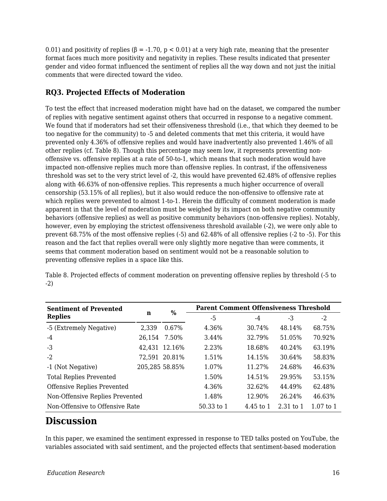0.01) and positivity of replies ( $\beta$  = -1.70, p < 0.01) at a very high rate, meaning that the presenter format faces much more positivity and negativity in replies. These results indicated that presenter gender and video format influenced the sentiment of replies all the way down and not just the initial comments that were directed toward the video.

### **RQ3. Projected Effects of Moderation**

To test the effect that increased moderation might have had on the dataset, we compared the number of replies with negative sentiment against others that occurred in response to a negative comment. We found that if moderators had set their offensiveness threshold (i.e., that which they deemed to be too negative for the community) to -5 and deleted comments that met this criteria, it would have prevented only 4.36% of offensive replies and would have inadvertently also prevented 1.46% of all other replies (cf. Table 8). Though this percentage may seem low, it represents preventing nonoffensive vs. offensive replies at a rate of 50-to-1, which means that such moderation would have impacted non-offensive replies much more than offensive replies. In contrast, if the offensiveness threshold was set to the very strict level of -2, this would have prevented 62.48% of offensive replies along with 46.63% of non-offensive replies. This represents a much higher occurrence of overall censorship (53.15% of all replies), but it also would reduce the non-offensive to offensive rate at which replies were prevented to almost 1-to-1. Herein the difficulty of comment moderation is made apparent in that the level of moderation must be weighed by its impact on both negative community behaviors (offensive replies) as well as positive community behaviors (non-offensive replies). Notably, however, even by employing the strictest offensiveness threshold available (-2), we were only able to prevent 68.75% of the most offensive replies (-5) and 62.48% of all offensive replies (-2 to -5). For this reason and the fact that replies overall were only slightly more negative than were comments, it seems that comment moderation based on sentiment would not be a reasonable solution to preventing offensive replies in a space like this.

**Sentiment of Prevented Replies <sup>n</sup> % Parent Comment Offensiveness Threshold**  $-5$   $-4$   $-3$   $-2$ -5 (Extremely Negative) 2,339 0.67% 4.36% 30.74% 48.14% 68.75% -4 26,154 7.50% 3.44% 32.79% 51.05% 70.92% -3 42,431 12.16% 2.23% 18.68% 40.24% 63.19% -2 72,591 20.81% 1.51% 14.15% 30.64% 58.83% -1 (Not Negative) 205,285 58.85% 1.07% 11.27% 24.68% 46.63% Total Replies Prevented 1.50% 14.51% 29.95% 53.15% Offensive Replies Prevented 4.36% 32.62% 44.49% 62.48% Non-Offensive Replies Prevented 1.48% 12.90% 26.24% 46.63% Non-Offensive to Offensive Rate 50.33 to 1 4.45 to 1 2.31 to 1 1.07 to 1

Table 8. Projected effects of comment moderation on preventing offensive replies by threshold (-5 to -2)

# **Discussion**

In this paper, we examined the sentiment expressed in response to TED talks posted on YouTube, the variables associated with said sentiment, and the projected effects that sentiment-based moderation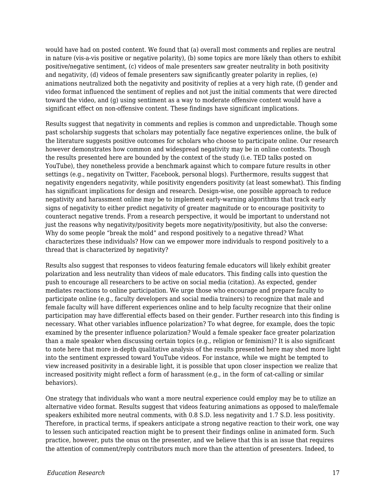would have had on posted content. We found that (a) overall most comments and replies are neutral in nature (vis-a-vis positive or negative polarity), (b) some topics are more likely than others to exhibit positive/negative sentiment, (c) videos of male presenters saw greater neutrality in both positivity and negativity, (d) videos of female presenters saw significantly greater polarity in replies, (e) animations neutralized both the negativity and positivity of replies at a very high rate, (f) gender and video format influenced the sentiment of replies and not just the initial comments that were directed toward the video, and (g) using sentiment as a way to moderate offensive content would have a significant effect on non-offensive content. These findings have significant implications.

Results suggest that negativity in comments and replies is common and unpredictable. Though some past scholarship suggests that scholars may potentially face negative experiences online, the bulk of the literature suggests positive outcomes for scholars who choose to participate online. Our research however demonstrates how common and widespread negativity may be in online contexts. Though the results presented here are bounded by the context of the study (i.e. TED talks posted on YouTube), they nonetheless provide a benchmark against which to compare future results in other settings (e.g., negativity on Twitter, Facebook, personal blogs). Furthermore, results suggest that negativity engenders negativity, while positivity engenders positivity (at least somewhat). This finding has significant implications for design and research. Design-wise, one possible approach to reduce negativity and harassment online may be to implement early-warning algorithms that track early signs of negativity to either predict negativity of greater magnitude or to encourage positivity to counteract negative trends. From a research perspective, it would be important to understand not just the reasons why negativity/positivity begets more negativity/positivity, but also the converse: Why do some people "break the mold" and respond positively to a negative thread? What characterizes these individuals? How can we empower more individuals to respond positively to a thread that is characterized by negativity?

Results also suggest that responses to videos featuring female educators will likely exhibit greater polarization and less neutrality than videos of male educators. This finding calls into question the push to encourage all researchers to be active on social media (citation). As expected, gender mediates reactions to online participation. We urge those who encourage and prepare faculty to participate online (e.g., faculty developers and social media trainers) to recognize that male and female faculty will have different experiences online and to help faculty recognize that their online participation may have differential effects based on their gender. Further research into this finding is necessary. What other variables influence polarization? To what degree, for example, does the topic examined by the presenter influence polarization? Would a female speaker face greater polarization than a male speaker when discussing certain topics (e.g., religion or feminism)? It is also significant to note here that more in-depth qualitative analysis of the results presented here may shed more light into the sentiment expressed toward YouTube videos. For instance, while we might be tempted to view increased positivity in a desirable light, it is possible that upon closer inspection we realize that increased positivity might reflect a form of harassment (e.g., in the form of cat-calling or similar behaviors).

One strategy that individuals who want a more neutral experience could employ may be to utilize an alternative video format. Results suggest that videos featuring animations as opposed to male/female speakers exhibited more neutral comments, with 0.8 S.D. less negativity and 1.7 S.D. less positivity. Therefore, in practical terms, if speakers anticipate a strong negative reaction to their work, one way to lessen such anticipated reaction might be to present their findings online in animated form. Such practice, however, puts the onus on the presenter, and we believe that this is an issue that requires the attention of comment/reply contributors much more than the attention of presenters. Indeed, to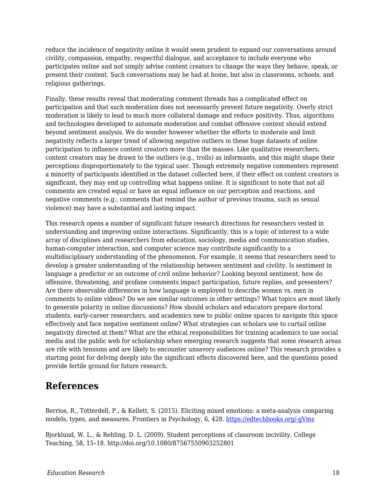reduce the incidence of negativity online it would seem prudent to expand our conversations around civility, compassion, empathy, respectful dialogue, and acceptance to include everyone who participates online and not simply advise content creators to change the ways they behave, speak, or present their content. Such conversations may be had at home, but also in classrooms, schools, and religious gatherings.

Finally, these results reveal that moderating comment threads has a complicated effect on participation and that such moderation does not necessarily prevent future negativity. Overly strict moderation is likely to lead to much more collateral damage and reduce positivity. Thus, algorithms and technologies developed to automate moderation and combat offensive content should extend beyond sentiment analysis. We do wonder however whether the efforts to moderate and limit negativity reflects a larger trend of allowing negative outliers in these huge datasets of online participation to influence content creators more than the masses. Like qualitative researchers, content creators may be drawn to the outliers (e.g., trolls) as informants, and this might shape their perceptions disproportionately to the typical user. Though extremely negative commenters represent a minority of participants identified in the dataset collected here, if their effect on content creators is significant, they may end up controlling what happens online. It is significant to note that not all comments are created equal or have an equal influence on our perception and reactions, and negative comments (e.g., comments that remind the author of previous trauma, such as sexual violence) may have a substantial and lasting impact.

This research opens a number of significant future research directions for researchers vested in understanding and improving online interactions. Significantly, this is a topic of interest to a wide array of disciplines and researchers from education, sociology, media and communication studies, human-computer interaction, and computer science may contribute significantly to a multidisciplinary understanding of the phenomenon. For example, it seems that researchers need to develop a greater understanding of the relationship between sentiment and civility. Is sentiment in language a predictor or an outcome of civil online behavior? Looking beyond sentiment, how do offensive, threatening, and profane comments impact participation, future replies, and presenters? Are there observable differences in how language is employed to describe women vs. men in comments to online videos? Do we see similar outcomes in other settings? What topics are most likely to generate polarity in online discussions? How should scholars and educators prepare doctoral students, early-career researchers, and academics new to public online spaces to navigate this space effectively and face negative sentiment online? What strategies can scholars use to curtail online negativity directed at them? What are the ethical responsibilities for training academics to use social media and the public web for scholarship when emerging research suggests that some research areas are rife with tensions and are likely to encounter unsavory audiences online? This research provides a starting point for delving deeply into the significant effects discovered here, and the questions posed provide fertile ground for future research.

### **References**

Berrios, R., Totterdell, P., & Kellett, S. (2015). Eliciting mixed emotions: a meta-analysis comparing models, types, and measures. Frontiers in Psychology, 6, 428. [https://edtechbooks.org/-gVms](https://www.google.com/url?q=http://doi.org/10.3389/fpsyg.2015.00428&sa=D&ust=1578985895418000)

Bjorklund, W. L., & Rehling, D. L. (2009). Student perceptions of classroom incivility. College Teaching, 58, 15–18. http://doi.org/10.1080/87567550903252801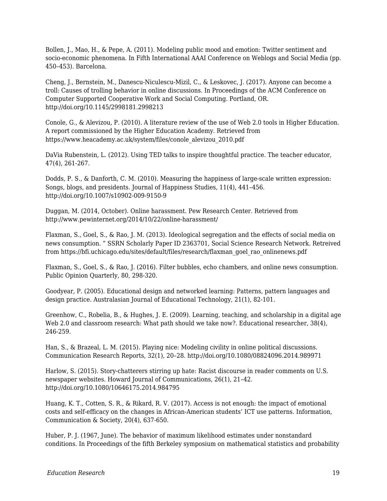Bollen, J., Mao, H., & Pepe, A. (2011). Modeling public mood and emotion: Twitter sentiment and socio-economic phenomena. In Fifth International AAAI Conference on Weblogs and Social Media (pp. 450–453). Barcelona.

Cheng, J., Bernstein, M., Danescu-Niculescu-Mizil, C., & Leskovec, J. (2017). Anyone can become a troll: Causes of trolling behavior in online discussions. In Proceedings of the ACM Conference on Computer Supported Cooperative Work and Social Computing. Portland, OR. http://doi.org/10.1145/2998181.2998213

Conole, G., & Alevizou, P. (2010). A literature review of the use of Web 2.0 tools in Higher Education. A report commissioned by the Higher Education Academy. Retrieved from https://www.heacademy.ac.uk/system/files/conole\_alevizou\_2010.pdf

DaVia Rubenstein, L. (2012). Using TED talks to inspire thoughtful practice. The teacher educator, 47(4), 261-267.

Dodds, P. S., & Danforth, C. M. (2010). Measuring the happiness of large-scale written expression: Songs, blogs, and presidents. Journal of Happiness Studies, 11(4), 441–456. http://doi.org/10.1007/s10902-009-9150-9

Duggan, M. (2014, October). Online harassment. Pew Research Center. Retrieved from http://www.pewinternet.org/2014/10/22/online-harassment/

Flaxman, S., Goel, S., & Rao, J. M. (2013). Ideological segregation and the effects of social media on news consumption. " SSRN Scholarly Paper ID 2363701, Social Science Research Network. Retreived from https://bfi.uchicago.edu/sites/default/files/research/flaxman\_goel\_rao\_onlinenews.pdf

Flaxman, S., Goel, S., & Rao, J. (2016). Filter bubbles, echo chambers, and online news consumption. Public Opinion Quarterly, 80, 298-320.

Goodyear, P. (2005). Educational design and networked learning: Patterns, pattern languages and design practice. Australasian Journal of Educational Technology, 21(1), 82-101.

Greenhow, C., Robelia, B., & Hughes, J. E. (2009). Learning, teaching, and scholarship in a digital age Web 2.0 and classroom research: What path should we take now?. Educational researcher, 38(4), 246-259.

Han, S., & Brazeal, L. M. (2015). Playing nice: Modeling civility in online political discussions. Communication Research Reports, 32(1), 20–28. http://doi.org/10.1080/08824096.2014.989971

Harlow, S. (2015). Story-chatterers stirring up hate: Racist discourse in reader comments on U.S. newspaper websites. Howard Journal of Communications, 26(1), 21–42. http://doi.org/10.1080/10646175.2014.984795

Huang, K. T., Cotten, S. R., & Rikard, R. V. (2017). Access is not enough: the impact of emotional costs and self-efficacy on the changes in African-American students' ICT use patterns. Information, Communication & Society, 20(4), 637-650.

Huber, P. J. (1967, June). The behavior of maximum likelihood estimates under nonstandard conditions. In Proceedings of the fifth Berkeley symposium on mathematical statistics and probability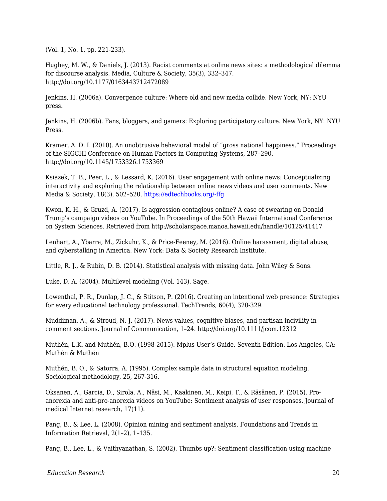(Vol. 1, No. 1, pp. 221-233).

Hughey, M. W., & Daniels, J. (2013). Racist comments at online news sites: a methodological dilemma for discourse analysis. Media, Culture & Society, 35(3), 332–347. http://doi.org/10.1177/0163443712472089

Jenkins, H. (2006a). Convergence culture: Where old and new media collide. New York, NY: NYU press.

Jenkins, H. (2006b). Fans, bloggers, and gamers: Exploring participatory culture. New York, NY: NYU Press.

Kramer, A. D. I. (2010). An unobtrusive behavioral model of "gross national happiness." Proceedings of the SIGCHI Conference on Human Factors in Computing Systems, 287–290. http://doi.org/10.1145/1753326.1753369

Ksiazek, T. B., Peer, L., & Lessard, K. (2016). User engagement with online news: Conceptualizing interactivity and exploring the relationship between online news videos and user comments. New Media & Society, 18(3), 502–520. [https://edtechbooks.org/-ffg](https://www.google.com/url?q=http://doi.org/10.1177/1461444814545073&sa=D&ust=1578985895422000)

Kwon, K. H., & Gruzd, A. (2017). Is aggression contagious online? A case of swearing on Donald Trump's campaign videos on YouTube. In Proceedings of the 50th Hawaii International Conference on System Sciences. Retrieved from http://scholarspace.manoa.hawaii.edu/handle/10125/41417

Lenhart, A., Ybarra, M., Zickuhr, K., & Price-Feeney, M. (2016). Online harassment, digital abuse, and cyberstalking in America. New York: Data & Society Research Institute.

Little, R. J., & Rubin, D. B. (2014). Statistical analysis with missing data. John Wiley & Sons.

Luke, D. A. (2004). Multilevel modeling (Vol. 143). Sage.

Lowenthal, P. R., Dunlap, J. C., & Stitson, P. (2016). Creating an intentional web presence: Strategies for every educational technology professional. TechTrends, 60(4), 320-329.

Muddiman, A., & Stroud, N. J. (2017). News values, cognitive biases, and partisan incivility in comment sections. Journal of Communication, 1–24. http://doi.org/10.1111/jcom.12312

Muthén, L.K. and Muthén, B.O. (1998-2015). Mplus User's Guide. Seventh Edition. Los Angeles, CA: Muthén & Muthén

Muthén, B. O., & Satorra, A. (1995). Complex sample data in structural equation modeling. Sociological methodology, 25, 267-316.

Oksanen, A., Garcia, D., Sirola, A., Näsi, M., Kaakinen, M., Keipi, T., & Räsänen, P. (2015). Proanorexia and anti-pro-anorexia videos on YouTube: Sentiment analysis of user responses. Journal of medical Internet research, 17(11).

Pang, B., & Lee, L. (2008). Opinion mining and sentiment analysis. Foundations and Trends in Information Retrieval, 2(1–2), 1–135.

Pang, B., Lee, L., & Vaithyanathan, S. (2002). Thumbs up?: Sentiment classification using machine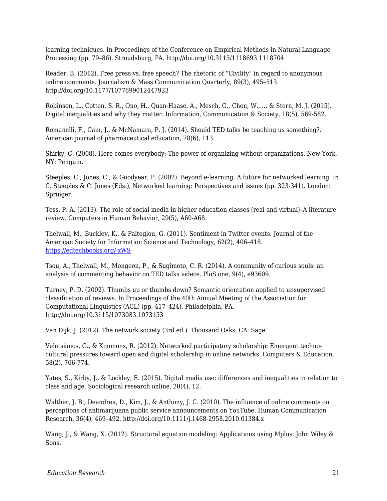learning techniques. In Proceedings of the Conference on Empirical Methods in Natural Language Processing (pp. 79–86). Stroudsburg, PA. http://doi.org/10.3115/1118693.1118704

Reader, B. (2012). Free press vs. free speech? The rhetoric of "Civility" in regard to anonymous online comments. Journalism & Mass Communication Quarterly, 89(3), 495–513. http://doi.org/10.1177/1077699012447923

Robinson, L., Cotten, S. R., Ono, H., Quan-Haase, A., Mesch, G., Chen, W., ... & Stern, M. J. (2015). Digital inequalities and why they matter. Information, Communication & Society, 18(5), 569-582.

Romanelli, F., Cain, J., & McNamara, P. J. (2014). Should TED talks be teaching us something?. American journal of pharmaceutical education, 78(6), 113.

Shirky, C. (2008). Here comes everybody: The power of organizing without organizations. New York, NY: Penguin.

Steeples, C., Jones, C., & Goodyear, P. (2002). Beyond e-learning: A future for networked learning. In C. Steeples & C. Jones (Eds.), Networked learning: Perspectives and issues (pp. 323-341). London: Springer.

Tess, P. A. (2013). The role of social media in higher education classes (real and virtual)–A literature review. Computers in Human Behavior, 29(5), A60-A68.

Thelwall, M., Buckley, K., & Paltoglou, G. (2011). Sentiment in Twitter events. Journal of the American Society for Information Science and Technology, 62(2), 406–418. [https://edtechbooks.org/-xWS](https://www.google.com/url?q=http://doi.org/10.1002/asi.21462&sa=D&ust=1578985895426000)

Tsou, A., Thelwall, M., Mongeon, P., & Sugimoto, C. R. (2014). A community of curious souls: an analysis of commenting behavior on TED talks videos. PloS one, 9(4), e93609.

Turney, P. D. (2002). Thumbs up or thumbs down? Semantic orientation applied to unsupervised classification of reviews. In Proceedings of the 40th Annual Meeting of the Association for Computational Linguistics (ACL) (pp. 417–424). Philadelphia, PA. http://doi.org/10.3115/1073083.1073153

Van Dijk, J. (2012). The network society (3rd ed.). Thousand Oaks, CA: Sage.

Veletsianos, G., & Kimmons, R. (2012). Networked participatory scholarship: Emergent technocultural pressures toward open and digital scholarship in online networks. Computers & Education, 58(2), 766-774.

Yates, S., Kirby, J., & Lockley, E. (2015). Digital media use: differences and inequalities in relation to class and age. Sociological research online, 20(4), 12.

Walther, J. B., Deandrea, D., Kim, J., & Anthony, J. C. (2010). The influence of online comments on perceptions of antimarijuana public service announcements on YouTube. Human Communication Research, 36(4), 469–492. http://doi.org/10.1111/j.1468-2958.2010.01384.x

Wang, J., & Wang, X. (2012). Structural equation modeling: Applications using Mplus. John Wiley & Sons.